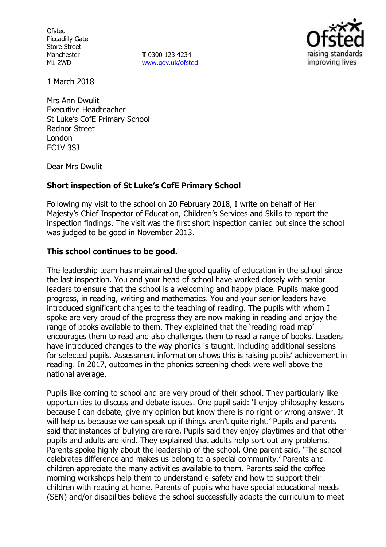**Ofsted** Piccadilly Gate Store Street Manchester M1 2WD

**T** 0300 123 4234 www.gov.uk/ofsted



1 March 2018

Mrs Ann Dwulit Executive Headteacher St Luke's CofE Primary School Radnor Street London EC1V 3SJ

Dear Mrs Dwulit

# **Short inspection of St Luke's CofE Primary School**

Following my visit to the school on 20 February 2018, I write on behalf of Her Majesty's Chief Inspector of Education, Children's Services and Skills to report the inspection findings. The visit was the first short inspection carried out since the school was judged to be good in November 2013.

### **This school continues to be good.**

The leadership team has maintained the good quality of education in the school since the last inspection. You and your head of school have worked closely with senior leaders to ensure that the school is a welcoming and happy place. Pupils make good progress, in reading, writing and mathematics. You and your senior leaders have introduced significant changes to the teaching of reading. The pupils with whom I spoke are very proud of the progress they are now making in reading and enjoy the range of books available to them. They explained that the 'reading road map' encourages them to read and also challenges them to read a range of books. Leaders have introduced changes to the way phonics is taught, including additional sessions for selected pupils. Assessment information shows this is raising pupils' achievement in reading. In 2017, outcomes in the phonics screening check were well above the national average.

Pupils like coming to school and are very proud of their school. They particularly like opportunities to discuss and debate issues. One pupil said: 'I enjoy philosophy lessons because I can debate, give my opinion but know there is no right or wrong answer. It will help us because we can speak up if things aren't quite right.' Pupils and parents said that instances of bullying are rare. Pupils said they enjoy playtimes and that other pupils and adults are kind. They explained that adults help sort out any problems. Parents spoke highly about the leadership of the school. One parent said, 'The school celebrates difference and makes us belong to a special community.' Parents and children appreciate the many activities available to them. Parents said the coffee morning workshops help them to understand e-safety and how to support their children with reading at home. Parents of pupils who have special educational needs (SEN) and/or disabilities believe the school successfully adapts the curriculum to meet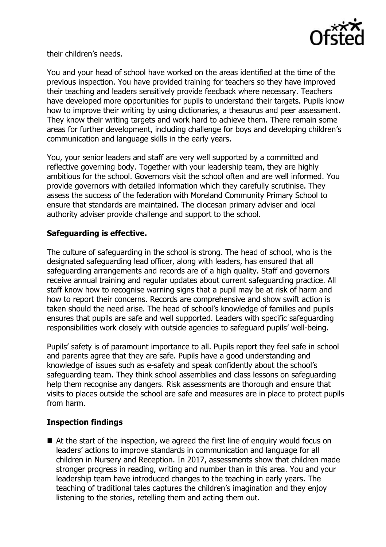

their children's needs.

You and your head of school have worked on the areas identified at the time of the previous inspection. You have provided training for teachers so they have improved their teaching and leaders sensitively provide feedback where necessary. Teachers have developed more opportunities for pupils to understand their targets. Pupils know how to improve their writing by using dictionaries, a thesaurus and peer assessment. They know their writing targets and work hard to achieve them. There remain some areas for further development, including challenge for boys and developing children's communication and language skills in the early years.

You, your senior leaders and staff are very well supported by a committed and reflective governing body. Together with your leadership team, they are highly ambitious for the school. Governors visit the school often and are well informed. You provide governors with detailed information which they carefully scrutinise. They assess the success of the federation with Moreland Community Primary School to ensure that standards are maintained. The diocesan primary adviser and local authority adviser provide challenge and support to the school.

# **Safeguarding is effective.**

The culture of safeguarding in the school is strong. The head of school, who is the designated safeguarding lead officer, along with leaders, has ensured that all safeguarding arrangements and records are of a high quality. Staff and governors receive annual training and regular updates about current safeguarding practice. All staff know how to recognise warning signs that a pupil may be at risk of harm and how to report their concerns. Records are comprehensive and show swift action is taken should the need arise. The head of school's knowledge of families and pupils ensures that pupils are safe and well supported. Leaders with specific safeguarding responsibilities work closely with outside agencies to safeguard pupils' well-being.

Pupils' safety is of paramount importance to all. Pupils report they feel safe in school and parents agree that they are safe. Pupils have a good understanding and knowledge of issues such as e-safety and speak confidently about the school's safeguarding team. They think school assemblies and class lessons on safeguarding help them recognise any dangers. Risk assessments are thorough and ensure that visits to places outside the school are safe and measures are in place to protect pupils from harm.

# **Inspection findings**

■ At the start of the inspection, we agreed the first line of enguiry would focus on leaders' actions to improve standards in communication and language for all children in Nursery and Reception. In 2017, assessments show that children made stronger progress in reading, writing and number than in this area. You and your leadership team have introduced changes to the teaching in early years. The teaching of traditional tales captures the children's imagination and they enjoy listening to the stories, retelling them and acting them out.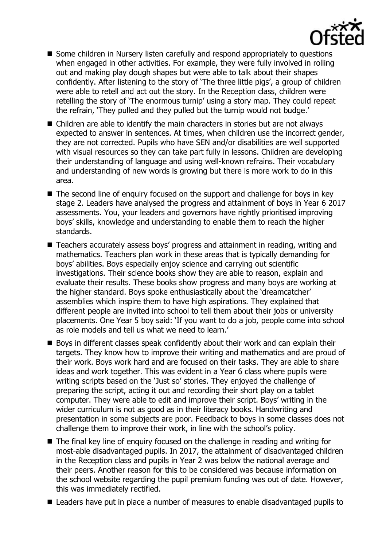

- Some children in Nursery listen carefully and respond appropriately to questions when engaged in other activities. For example, they were fully involved in rolling out and making play dough shapes but were able to talk about their shapes confidently. After listening to the story of 'The three little pigs', a group of children were able to retell and act out the story. In the Reception class, children were retelling the story of 'The enormous turnip' using a story map. They could repeat the refrain, 'They pulled and they pulled but the turnip would not budge.'
- Children are able to identify the main characters in stories but are not alwavs expected to answer in sentences. At times, when children use the incorrect gender, they are not corrected. Pupils who have SEN and/or disabilities are well supported with visual resources so they can take part fully in lessons. Children are developing their understanding of language and using well-known refrains. Their vocabulary and understanding of new words is growing but there is more work to do in this area.
- The second line of enquiry focused on the support and challenge for boys in key stage 2. Leaders have analysed the progress and attainment of boys in Year 6 2017 assessments. You, your leaders and governors have rightly prioritised improving boys' skills, knowledge and understanding to enable them to reach the higher standards.
- Teachers accurately assess boys' progress and attainment in reading, writing and mathematics. Teachers plan work in these areas that is typically demanding for boys' abilities. Boys especially enjoy science and carrying out scientific investigations. Their science books show they are able to reason, explain and evaluate their results. These books show progress and many boys are working at the higher standard. Boys spoke enthusiastically about the 'dreamcatcher' assemblies which inspire them to have high aspirations. They explained that different people are invited into school to tell them about their jobs or university placements. One Year 5 boy said: 'If you want to do a job, people come into school as role models and tell us what we need to learn.'
- Boys in different classes speak confidently about their work and can explain their targets. They know how to improve their writing and mathematics and are proud of their work. Boys work hard and are focused on their tasks. They are able to share ideas and work together. This was evident in a Year 6 class where pupils were writing scripts based on the 'Just so' stories. They enjoyed the challenge of preparing the script, acting it out and recording their short play on a tablet computer. They were able to edit and improve their script. Boys' writing in the wider curriculum is not as good as in their literacy books. Handwriting and presentation in some subjects are poor. Feedback to boys in some classes does not challenge them to improve their work, in line with the school's policy.
- The final key line of enquiry focused on the challenge in reading and writing for most-able disadvantaged pupils. In 2017, the attainment of disadvantaged children in the Reception class and pupils in Year 2 was below the national average and their peers. Another reason for this to be considered was because information on the school website regarding the pupil premium funding was out of date. However, this was immediately rectified.
- Leaders have put in place a number of measures to enable disadvantaged pupils to